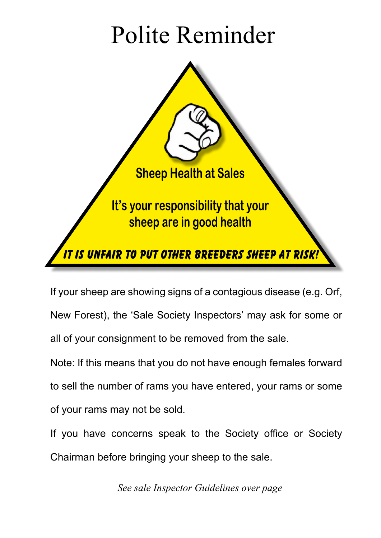# Polite Reminder



If your sheep are showing signs of a contagious disease (e.g. Orf, New Forest), the 'Sale Society Inspectors' may ask for some or all of your consignment to be removed from the sale.

Note: If this means that you do not have enough females forward to sell the number of rams you have entered, your rams or some of your rams may not be sold.

If you have concerns speak to the Society office or Society Chairman before bringing your sheep to the sale.

*See sale Inspector Guidelines over page*